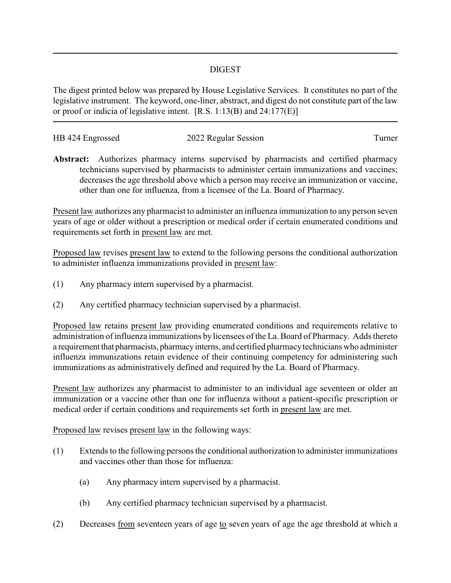## DIGEST

The digest printed below was prepared by House Legislative Services. It constitutes no part of the legislative instrument. The keyword, one-liner, abstract, and digest do not constitute part of the law or proof or indicia of legislative intent. [R.S. 1:13(B) and 24:177(E)]

| HB 424 Engrossed | 2022 Regular Session | l urner |
|------------------|----------------------|---------|
|                  |                      |         |

**Abstract:** Authorizes pharmacy interns supervised by pharmacists and certified pharmacy technicians supervised by pharmacists to administer certain immunizations and vaccines; decreases the age threshold above which a person may receive an immunization or vaccine, other than one for influenza, from a licensee of the La. Board of Pharmacy.

Present law authorizes any pharmacist to administer an influenza immunization to any person seven years of age or older without a prescription or medical order if certain enumerated conditions and requirements set forth in present law are met.

Proposed law revises present law to extend to the following persons the conditional authorization to administer influenza immunizations provided in present law:

- (1) Any pharmacy intern supervised by a pharmacist.
- (2) Any certified pharmacy technician supervised by a pharmacist.

Proposed law retains present law providing enumerated conditions and requirements relative to administration of influenza immunizations by licensees of the La. Board of Pharmacy. Adds thereto a requirement that pharmacists, pharmacy interns, and certified pharmacy technicians who administer influenza immunizations retain evidence of their continuing competency for administering such immunizations as administratively defined and required by the La. Board of Pharmacy.

Present law authorizes any pharmacist to administer to an individual age seventeen or older an immunization or a vaccine other than one for influenza without a patient-specific prescription or medical order if certain conditions and requirements set forth in present law are met.

Proposed law revises present law in the following ways:

- (1) Extends to the following persons the conditional authorization to administer immunizations and vaccines other than those for influenza:
	- (a) Any pharmacy intern supervised by a pharmacist.
	- (b) Any certified pharmacy technician supervised by a pharmacist.
- (2) Decreases from seventeen years of age to seven years of age the age threshold at which a